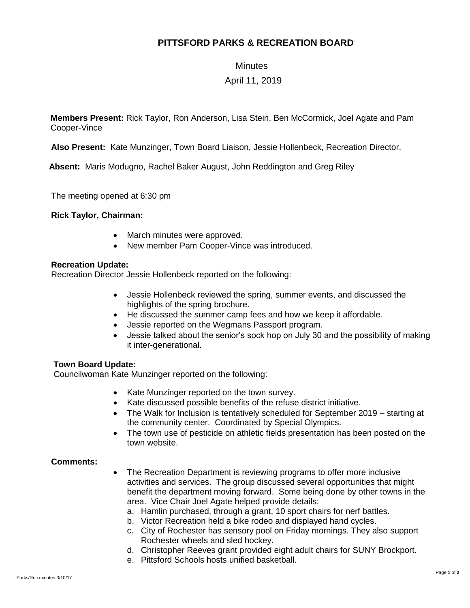# **PITTSFORD PARKS & RECREATION BOARD**

### **Minutes**

## April 11, 2019

**Members Present:** Rick Taylor, Ron Anderson, Lisa Stein, Ben McCormick, Joel Agate and Pam Cooper-Vince

**Also Present:** Kate Munzinger, Town Board Liaison, Jessie Hollenbeck, Recreation Director.

 **Absent:** Maris Modugno, Rachel Baker August, John Reddington and Greg Riley

The meeting opened at 6:30 pm

### **Rick Taylor, Chairman:**

- March minutes were approved.
- New member Pam Cooper-Vince was introduced.

### **Recreation Update:**

Recreation Director Jessie Hollenbeck reported on the following:

- Jessie Hollenbeck reviewed the spring, summer events, and discussed the highlights of the spring brochure.
- He discussed the summer camp fees and how we keep it affordable.
- Jessie reported on the Wegmans Passport program.
- Jessie talked about the senior's sock hop on July 30 and the possibility of making it inter-generational.

### **Town Board Update:**

Councilwoman Kate Munzinger reported on the following:

- Kate Munzinger reported on the town survey.
- Kate discussed possible benefits of the refuse district initiative.
- The Walk for Inclusion is tentatively scheduled for September 2019 starting at the community center. Coordinated by Special Olympics.
- The town use of pesticide on athletic fields presentation has been posted on the town website.

### **Comments:**

- The Recreation Department is reviewing programs to offer more inclusive activities and services. The group discussed several opportunities that might benefit the department moving forward. Some being done by other towns in the area. Vice Chair Joel Agate helped provide details:
	- a. Hamlin purchased, through a grant, 10 sport chairs for nerf battles.
	- b. Victor Recreation held a bike rodeo and displayed hand cycles.
	- c. City of Rochester has sensory pool on Friday mornings. They also support Rochester wheels and sled hockey.
	- d. Christopher Reeves grant provided eight adult chairs for SUNY Brockport.
	- e. Pittsford Schools hosts unified basketball.